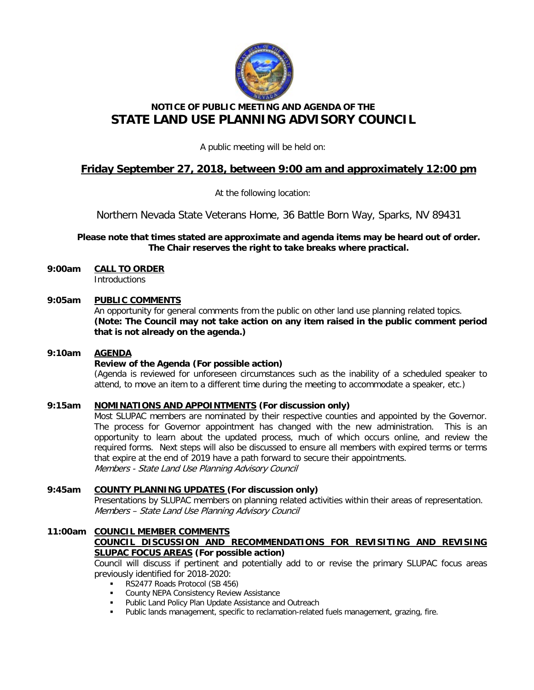

# **NOTICE OF PUBLIC MEETING AND AGENDA OF THE STATE LAND USE PLANNING ADVISORY COUNCIL**

A public meeting will be held on:

## **Friday September 27, 2018, between 9:00 am and approximately 12:00 pm**

At the following location:

Northern Nevada State Veterans Home, 36 Battle Born Way, Sparks, NV 89431

**Please note that times stated are approximate and agenda items may be heard out of order. The Chair reserves the right to take breaks where practical.**

**9:00am CALL TO ORDER Introductions** 

## **9:05am PUBLIC COMMENTS**

An opportunity for general comments from the public on other land use planning related topics. **(Note: The Council may not take action on any item raised in the public comment period that is not already on the agenda.)**

## **9:10am AGENDA**

## **Review of the Agenda (For possible action)**

(Agenda is reviewed for unforeseen circumstances such as the inability of a scheduled speaker to attend, to move an item to a different time during the meeting to accommodate a speaker, etc.)

## **9:15am NOMINATIONS AND APPOINTMENTS (For discussion only)**

Most SLUPAC members are nominated by their respective counties and appointed by the Governor. The process for Governor appointment has changed with the new administration. This is an opportunity to learn about the updated process, much of which occurs online, and review the required forms. Next steps will also be discussed to ensure all members with expired terms or terms that expire at the end of 2019 have a path forward to secure their appointments. Members - State Land Use Planning Advisory Council

## **9:45am COUNTY PLANNING UPDATES (For discussion only)**

Presentations by SLUPAC members on planning related activities within their areas of representation. Members – State Land Use Planning Advisory Council

#### **11:00am COUNCIL MEMBER COMMENTS COUNCIL DISCUSSION AND RECOMMENDATIONS FOR REVISITING AND REVISING SLUPAC FOCUS AREAS (For possible action)**

Council will discuss if pertinent and potentially add to or revise the primary SLUPAC focus areas previously identified for 2018-2020:

- RS2477 Roads Protocol (SB 456)
- County NEPA Consistency Review Assistance
- Public Land Policy Plan Update Assistance and Outreach
- Public lands management, specific to reclamation-related fuels management, grazing, fire.